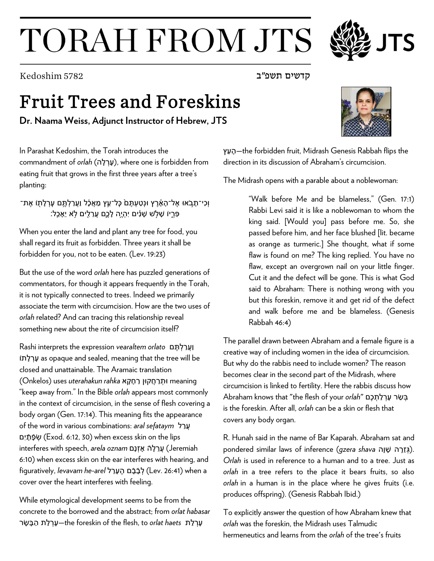## TORAH FROM JTS

קדשים תשפ"ב 5782 Kedoshim

## Fruit Trees and Foreskins

**Dr. Naama Weiss, Adjunct Instructor of Hebrew, JTS**

In Parashat Kedoshim, the Torah introduces the commandment of *orlah* (ערלה), where one is forbidden from eating fruit that grows in the first three years after a tree's planting:

וְכִי־תָבֹאוּ אֶל־הָאָ֫רֵץ וּנְטַעְתֵּםׂ כָּל־עֵץ מַאֲכָ֫ל וַעֲרַלְתֵּם עָרְלָתָוֹ אֶת־ ּ פִּרְיוֹ שָׁלְשׁ שָׁנִים יִהְיֵה לָכֵם עֲרֵלֵים לֹא יֵאָכֵל:

When you enter the land and plant any tree for food, you shall regard its fruit as forbidden. Three years it shall be forbidden for you, not to be eaten. (Lev. 19:23)

But the use of the word *orlah* here has puzzled generations of commentators, for though it appears frequently in the Torah, it is not typically connected to trees. Indeed we primarily associate the term with circumcision. How are the two uses of *orlah* related? And can tracing this relationship reveal something new about the rite of circumcision itself?

וַעֲרַ לְ תֶּ ם *orlato vearaltem* expression the interprets Rashi תוֹ ָל ְרָע as opaque and sealed, meaning that the tree will be closed and unattainable. The Aramaic translation meaning וּתְ רַ חֲקוּן רַ חָ קָ א *rahka uterahakun* uses) Onkelos( "keep away from." In the Bible *orlah* appears most commonly in the context of circumcision, in the sense of flesh covering a body organ (Gen. 17:14). This meaning fits the appearance of the word in various combinations: *aral sefataym* ל ַרֲע םִי ָ �ָפֿ ְשׂ) Exod. 6:12, 30) when excess skin on the lips Jeremiah (עֲרֵ לָ � אָ זְנָם *oznam ar*e*la* ,speech with interferes 6:10) when excess skin on the ear interferes with hearing, and a when) 26:41 .Lev (לְ בָֿ בָֿ ם הֶ עָרֵ ל *arel-he levavam* ,figuratively cover over the heart interferes with feeling.

While etymological development seems to be from the concrete to the borrowed and the abstract; from *orlat habasar* עָרְ לַ ת *haets orlat* to ,flesh the of foreskin the—עָרְ לַ ת הַ בָּ שָׂ ר

ץֵע ָה—the forbidden fruit, Midrash Genesis Rabbah flips the direction in its discussion of Abraham's circumcision.

The Midrash opens with a parable about a noblewoman:

"Walk before Me and be blameless," (Gen. 17:1) Rabbi Levi said it is like a noblewoman to whom the king said. [Would you] pass before me. So, she passed before him, and her face blushed [lit. became as orange as turmeric.] She thought, what if some flaw is found on me? The king replied. You have no flaw, except an overgrown nail on your little finger. Cut it and the defect will be gone. This is what God said to Abraham: There is nothing wrong with you but this foreskin, remove it and get rid of the defect and walk before me and be blameless. (Genesis Rabbah 46:4)

The parallel drawn between Abraham and a female figure is a creative way of including women in the idea of circumcision. But why do the rabbis need to include women? The reason becomes clear in the second part of the Midrash, where circumcision is linked to fertility. Here the rabbis discuss how בְּ שַׂ ר עָרְ לַ תְ כֶ ם "*orlah* your of flesh the "that knows Abraham is the foreskin. After all, *orlah* can be a skin or flesh that covers any body organ.

R. Hunah said in the name of Bar Kaparah. Abraham sat and pondered similar laws of inference (qzera shava נְגְזֵרָה שָׁנָה.). *Orlah* is used in reference to a human and to a tree. Just as *orlah* in a tree refers to the place it bears fruits, so also *orlah* in a human is in the place where he gives fruits (i.e. produces offspring). (Genesis Rabbah Ibid.)

To explicitly answer the question of how Abraham knew that *orlah* was the foreskin, the Midrash uses Talmudic hermeneutics and learns from the *orlah* of the tree's fruits